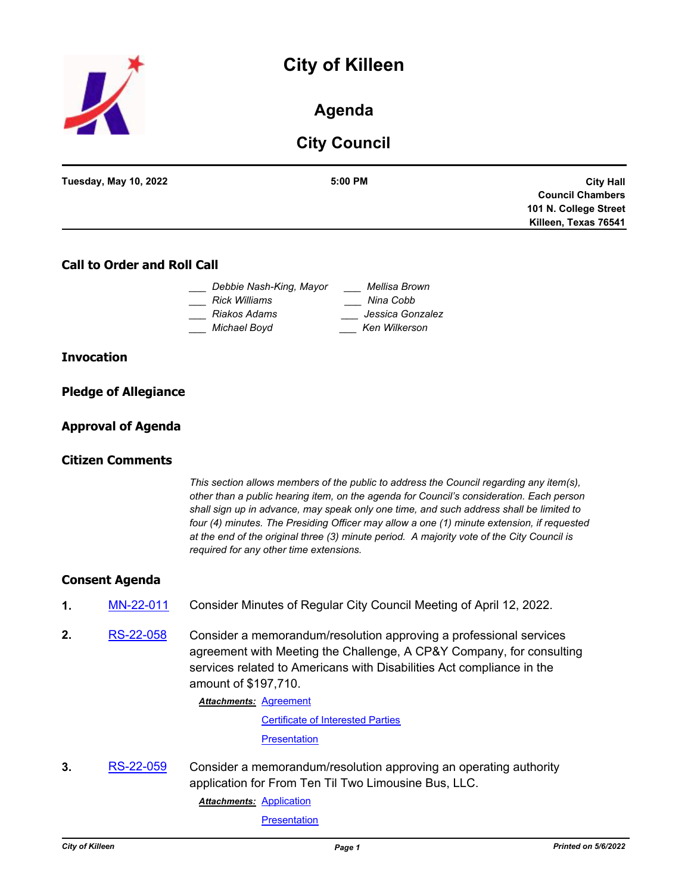# **City of Killeen**



# **Agenda**

# **City Council**

| $5:00$ PM | <b>Tuesday, May 10, 2022</b> |
|-----------|------------------------------|
|           |                              |
|           |                              |
|           |                              |
|           |                              |

# **Call to Order and Roll Call**

| Debbie Nash-King, Mayor | Mellisa Brown    |
|-------------------------|------------------|
| Rick Williams           | Nina Cobb        |
| Riakos Adams            | Jessica Gonzalez |
| Michael Boyd            | Ken Wilkerson    |

### **Invocation**

| <b>Pledge of Allegiance</b> |  |
|-----------------------------|--|
|                             |  |

### **Approval of Agenda**

### **Citizen Comments**

*This section allows members of the public to address the Council regarding any item(s), other than a public hearing item, on the agenda for Council's consideration. Each person shall sign up in advance, may speak only one time, and such address shall be limited to four (4) minutes. The Presiding Officer may allow a one (1) minute extension, if requested at the end of the original three (3) minute period. A majority vote of the City Council is required for any other time extensions.*

### **Consent Agenda**

- **1.** [MN-22-011](http://killeen.legistar.com/gateway.aspx?m=l&id=/matter.aspx?key=6094) Consider Minutes of Regular City Council Meeting of April 12, 2022.
- **2.** [RS-22-058](http://killeen.legistar.com/gateway.aspx?m=l&id=/matter.aspx?key=6086) Consider a memorandum/resolution approving a professional services agreement with Meeting the Challenge, A CP&Y Company, for consulting services related to Americans with Disabilities Act compliance in the amount of \$197,710.

**Attachments: [Agreement](http://killeen.legistar.com/gateway.aspx?M=F&ID=2d7f0543-cbf3-4925-bc49-19ab191aacba.pdf)** 

[Certificate of Interested Parties](http://killeen.legistar.com/gateway.aspx?M=F&ID=50bfbc6d-7521-4991-aacb-bae475ac8ad6.pdf)

**[Presentation](http://killeen.legistar.com/gateway.aspx?M=F&ID=4c7b4cbd-98a6-4905-a014-966c4717ea7e.pdf)** 

**3.** [RS-22-059](http://killeen.legistar.com/gateway.aspx?m=l&id=/matter.aspx?key=6103) Consider a memorandum/resolution approving an operating authority application for From Ten Til Two Limousine Bus, LLC.

**Attachments: [Application](http://killeen.legistar.com/gateway.aspx?M=F&ID=f7359e37-41ef-4399-9f72-18fd9f59417d.pdf)** 

**[Presentation](http://killeen.legistar.com/gateway.aspx?M=F&ID=e6e99fc0-4482-4f97-b772-213be3f1c609.pdf)**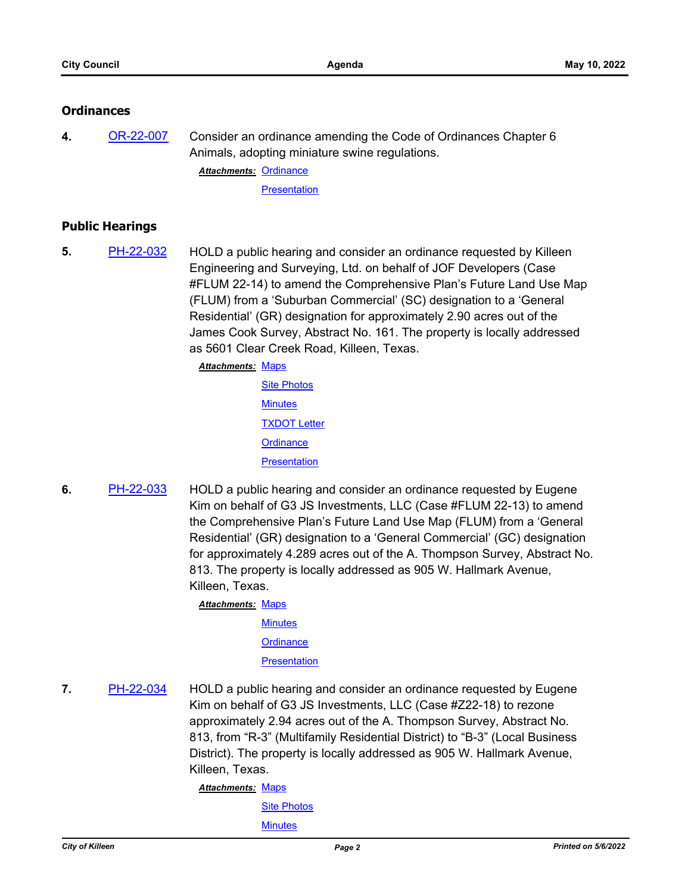# **Ordinances**

**4.** [OR-22-007](http://killeen.legistar.com/gateway.aspx?m=l&id=/matter.aspx?key=6106) Consider an ordinance amending the Code of Ordinances Chapter 6 Animals, adopting miniature swine regulations.

Attachments: [Ordinance](http://killeen.legistar.com/gateway.aspx?M=F&ID=f8cae139-2e7d-40ab-8c33-3b9666961947.pdf) **[Presentation](http://killeen.legistar.com/gateway.aspx?M=F&ID=37b8eb80-0058-4f4d-9bdb-a4f0fcd0d04e.pdf)** 

# **Public Hearings**

- **5.** [PH-22-032](http://killeen.legistar.com/gateway.aspx?m=l&id=/matter.aspx?key=6044) HOLD a public hearing and consider an ordinance requested by Killeen Engineering and Surveying, Ltd. on behalf of JOF Developers (Case #FLUM 22-14) to amend the Comprehensive Plan's Future Land Use Map (FLUM) from a 'Suburban Commercial' (SC) designation to a 'General Residential' (GR) designation for approximately 2.90 acres out of the James Cook Survey, Abstract No. 161. The property is locally addressed as 5601 Clear Creek Road, Killeen, Texas.
	- **Attachments: [Maps](http://killeen.legistar.com/gateway.aspx?M=F&ID=cdb3b370-8d74-4ce2-9a41-d43e81843279.pdf) [Site Photos](http://killeen.legistar.com/gateway.aspx?M=F&ID=2654251c-9052-454f-99d8-1e6e390c0903.pdf) [Minutes](http://killeen.legistar.com/gateway.aspx?M=F&ID=f3bf00f6-4672-4006-b275-d08d321bacee.pdf)** [TXDOT Letter](http://killeen.legistar.com/gateway.aspx?M=F&ID=6a8f2af7-3b64-441d-a124-5a1e9143bec0.pdf) **[Ordinance](http://killeen.legistar.com/gateway.aspx?M=F&ID=bd4237f0-7880-4c10-8810-ba077698d5d5.pdf) [Presentation](http://killeen.legistar.com/gateway.aspx?M=F&ID=702199c3-d94a-463e-88c5-79a99ac96589.pdf)**
- **6.** [PH-22-033](http://killeen.legistar.com/gateway.aspx?m=l&id=/matter.aspx?key=6042) HOLD a public hearing and consider an ordinance requested by Eugene Kim on behalf of G3 JS Investments, LLC (Case #FLUM 22-13) to amend the Comprehensive Plan's Future Land Use Map (FLUM) from a 'General Residential' (GR) designation to a 'General Commercial' (GC) designation for approximately 4.289 acres out of the A. Thompson Survey, Abstract No. 813. The property is locally addressed as 905 W. Hallmark Avenue, Killeen, Texas.

**Attachments: [Maps](http://killeen.legistar.com/gateway.aspx?M=F&ID=a085aedc-cab2-4076-b89b-399155835728.pdf) [Minutes](http://killeen.legistar.com/gateway.aspx?M=F&ID=d0a29583-dfd5-432f-9750-528f36c3f153.pdf)** 

**[Ordinance](http://killeen.legistar.com/gateway.aspx?M=F&ID=9732e4c5-0008-4626-8da5-2c310953de6b.pdf)** 

**[Presentation](http://killeen.legistar.com/gateway.aspx?M=F&ID=0b502061-1589-4254-90e4-2391d6f91287.pdf)** 

**7.** [PH-22-034](http://killeen.legistar.com/gateway.aspx?m=l&id=/matter.aspx?key=6091) HOLD a public hearing and consider an ordinance requested by Eugene Kim on behalf of G3 JS Investments, LLC (Case #Z22-18) to rezone approximately 2.94 acres out of the A. Thompson Survey, Abstract No. 813, from "R-3" (Multifamily Residential District) to "B-3" (Local Business District). The property is locally addressed as 905 W. Hallmark Avenue, Killeen, Texas.

Attachments: [Maps](http://killeen.legistar.com/gateway.aspx?M=F&ID=0df796fa-54e8-4bbb-b9e9-ef77b28bbe4a.pdf)

[Site Photos](http://killeen.legistar.com/gateway.aspx?M=F&ID=9f1372de-69d8-4f8a-bef6-339ba19ebc1b.pdf)

**[Minutes](http://killeen.legistar.com/gateway.aspx?M=F&ID=f64fbd7e-33c0-4deb-8b40-e2f946d90179.pdf)**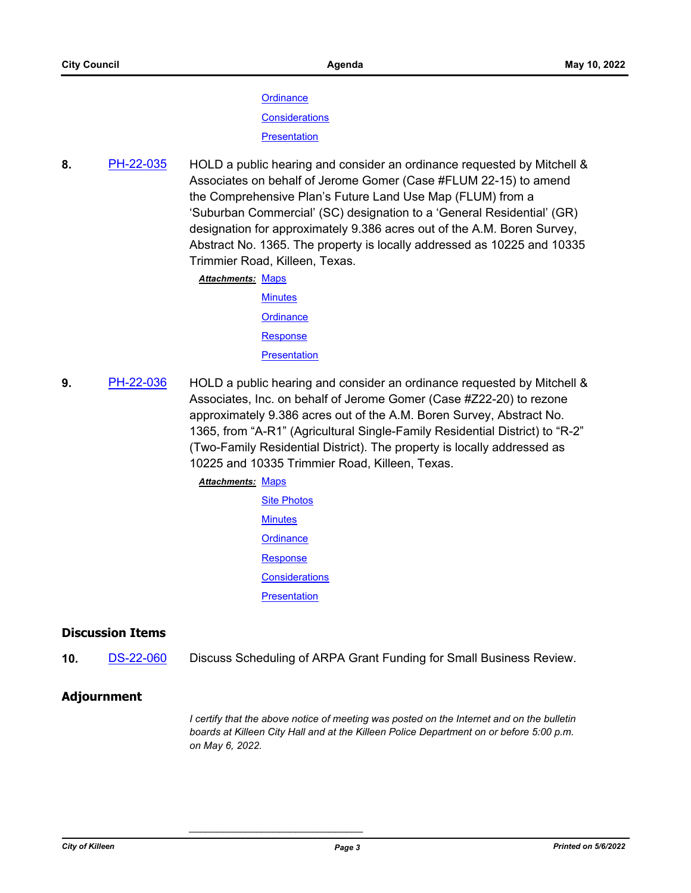**[Ordinance](http://killeen.legistar.com/gateway.aspx?M=F&ID=b056a287-0331-4841-902c-0d29adc82a36.pdf) [Considerations](http://killeen.legistar.com/gateway.aspx?M=F&ID=21d46918-9f5e-40cc-bb8d-796d7da9b2ab.pdf)** 

**[Presentation](http://killeen.legistar.com/gateway.aspx?M=F&ID=e9c48e61-90c4-425c-9a41-fdcd4852e303.pdf)** 

**8.** [PH-22-035](http://killeen.legistar.com/gateway.aspx?m=l&id=/matter.aspx?key=6045) HOLD a public hearing and consider an ordinance requested by Mitchell & Associates on behalf of Jerome Gomer (Case #FLUM 22-15) to amend the Comprehensive Plan's Future Land Use Map (FLUM) from a 'Suburban Commercial' (SC) designation to a 'General Residential' (GR) designation for approximately 9.386 acres out of the A.M. Boren Survey, Abstract No. 1365. The property is locally addressed as 10225 and 10335 Trimmier Road, Killeen, Texas.

> Attachments: [Maps](http://killeen.legistar.com/gateway.aspx?M=F&ID=a0dfe31e-6697-462a-af29-7b0645594421.pdf) **[Minutes](http://killeen.legistar.com/gateway.aspx?M=F&ID=352f159a-1680-48bd-a919-6c5ccdf4e50d.pdf) [Ordinance](http://killeen.legistar.com/gateway.aspx?M=F&ID=410fea15-47d6-4f9d-80b7-9a6770650093.pdf)** [Response](http://killeen.legistar.com/gateway.aspx?M=F&ID=f4ea9235-0e22-45e0-9a4c-c7c3409ec397.pdf) **[Presentation](http://killeen.legistar.com/gateway.aspx?M=F&ID=93caf825-2fc6-4809-b2a6-fd263a3a817d.pdf)**

**9.** [PH-22-036](http://killeen.legistar.com/gateway.aspx?m=l&id=/matter.aspx?key=6046) HOLD a public hearing and consider an ordinance requested by Mitchell & Associates, Inc. on behalf of Jerome Gomer (Case #Z22-20) to rezone approximately 9.386 acres out of the A.M. Boren Survey, Abstract No. 1365, from "A-R1" (Agricultural Single-Family Residential District) to "R-2" (Two-Family Residential District). The property is locally addressed as 10225 and 10335 Trimmier Road, Killeen, Texas.

### Attachments: [Maps](http://killeen.legistar.com/gateway.aspx?M=F&ID=4a2c38a1-7e02-4224-a5a9-771df75d531b.pdf)

[Site Photos](http://killeen.legistar.com/gateway.aspx?M=F&ID=c58b6250-b0d6-45d0-921d-589cbc742c2c.pdf) **[Minutes](http://killeen.legistar.com/gateway.aspx?M=F&ID=69b0c0ac-dfb0-477f-86f4-7024b9849973.pdf) [Ordinance](http://killeen.legistar.com/gateway.aspx?M=F&ID=d389b1b4-e3d2-4e51-ab43-18a8426b4f22.pdf) [Response](http://killeen.legistar.com/gateway.aspx?M=F&ID=36c29fba-2e40-43f7-8896-ab7842545919.pdf) [Considerations](http://killeen.legistar.com/gateway.aspx?M=F&ID=cd9f68cf-1d88-4665-8f04-b1cd868cb1e3.pdf) [Presentation](http://killeen.legistar.com/gateway.aspx?M=F&ID=0c73e6ca-6ff1-4acd-a1c5-5ed03080a5af.pdf)** 

*\_\_\_\_\_\_\_\_\_\_\_\_\_\_\_\_\_\_\_\_\_\_\_\_\_\_\_\_\_\_\_*

# **Discussion Items**

**10.** [DS-22-060](http://killeen.legistar.com/gateway.aspx?m=l&id=/matter.aspx?key=6138) Discuss Scheduling of ARPA Grant Funding for Small Business Review.

### **Adjournment**

*I certify that the above notice of meeting was posted on the Internet and on the bulletin boards at Killeen City Hall and at the Killeen Police Department on or before 5:00 p.m. on May 6, 2022.*